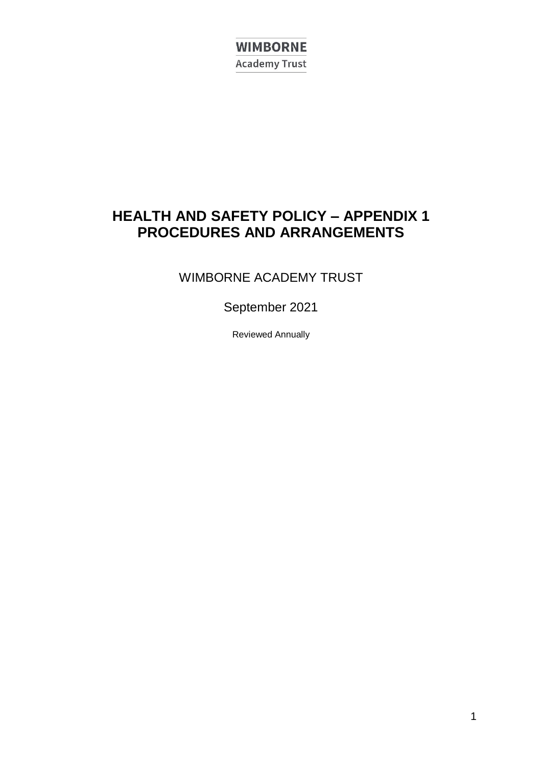**WIMBORNE Academy Trust** 

## **HEALTH AND SAFETY POLICY – APPENDIX 1 PROCEDURES AND ARRANGEMENTS**

## WIMBORNE ACADEMY TRUST

## September 2021

Reviewed Annually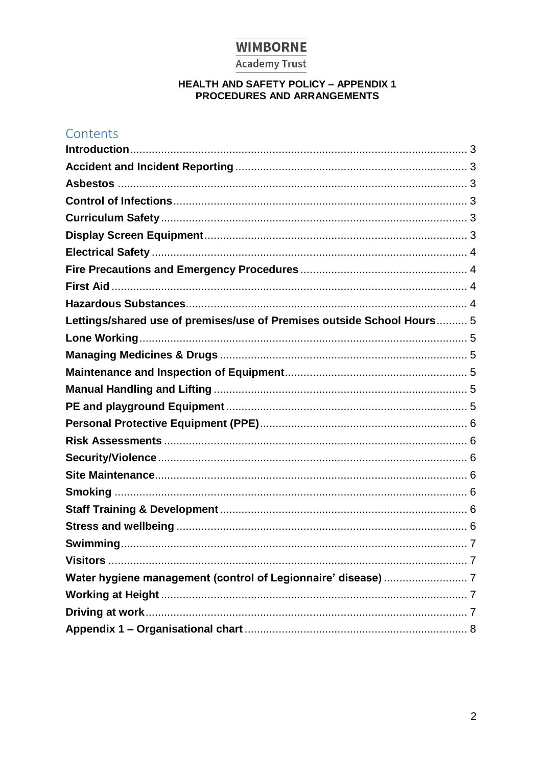#### **Academy Trust**

# HEALTH AND SAFETY POLICY - APPENDIX 1<br>PROCEDURES AND ARRANGEMENTS

## Contents

| Lettings/shared use of premises/use of Premises outside School Hours 5 |  |
|------------------------------------------------------------------------|--|
|                                                                        |  |
|                                                                        |  |
|                                                                        |  |
|                                                                        |  |
|                                                                        |  |
|                                                                        |  |
|                                                                        |  |
|                                                                        |  |
|                                                                        |  |
|                                                                        |  |
|                                                                        |  |
|                                                                        |  |
|                                                                        |  |
|                                                                        |  |
|                                                                        |  |
|                                                                        |  |
|                                                                        |  |
|                                                                        |  |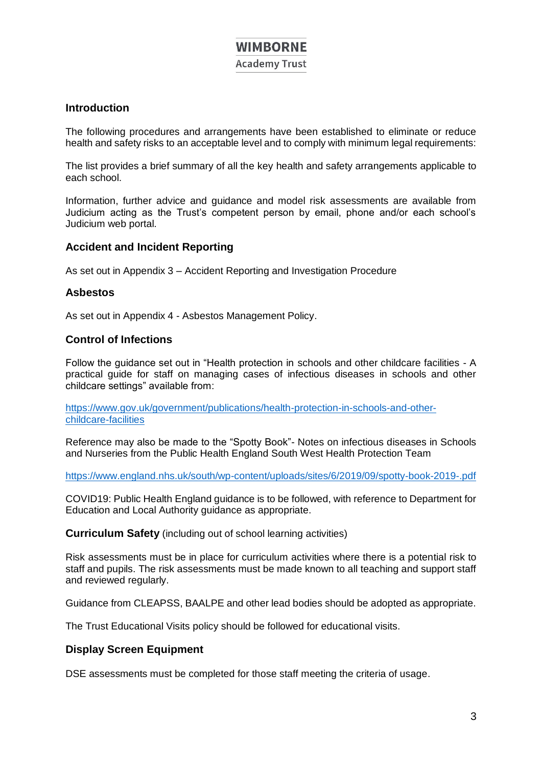**Academy Trust** 

#### **Introduction**

The following procedures and arrangements have been established to eliminate or reduce health and safety risks to an acceptable level and to comply with minimum legal requirements:

The list provides a brief summary of all the key health and safety arrangements applicable to each school.

Information, further advice and guidance and model risk assessments are available from Judicium acting as the Trust's competent person by email, phone and/or each school's Judicium web portal.

#### **Accident and Incident Reporting**

As set out in Appendix 3 – Accident Reporting and Investigation Procedure

#### **Asbestos**

As set out in Appendix 4 - Asbestos Management Policy.

#### **Control of Infections**

Follow the guidance set out in "Health protection in schools and other childcare facilities - A practical guide for staff on managing cases of infectious diseases in schools and other childcare settings" available from:

https://www.gov.uk/government/publications/health-protection-in-schools-and-otherchildcare-facilities

Reference may also be made to the "Spotty Book"- Notes on infectious diseases in Schools and Nurseries from the Public Health England South West Health Protection Team

https://www.england.nhs.uk/south/wp-content/uploads/sites/6/2019/09/spotty-book-2019-.pdf

COVID19: Public Health England guidance is to be followed, with reference to Department for Education and Local Authority guidance as appropriate.

**Curriculum Safety** (including out of school learning activities)

Risk assessments must be in place for curriculum activities where there is a potential risk to staff and pupils. The risk assessments must be made known to all teaching and support staff and reviewed regularly.

Guidance from CLEAPSS, BAALPE and other lead bodies should be adopted as appropriate.

The Trust Educational Visits policy should be followed for educational visits.

#### **Display Screen Equipment**

DSE assessments must be completed for those staff meeting the criteria of usage.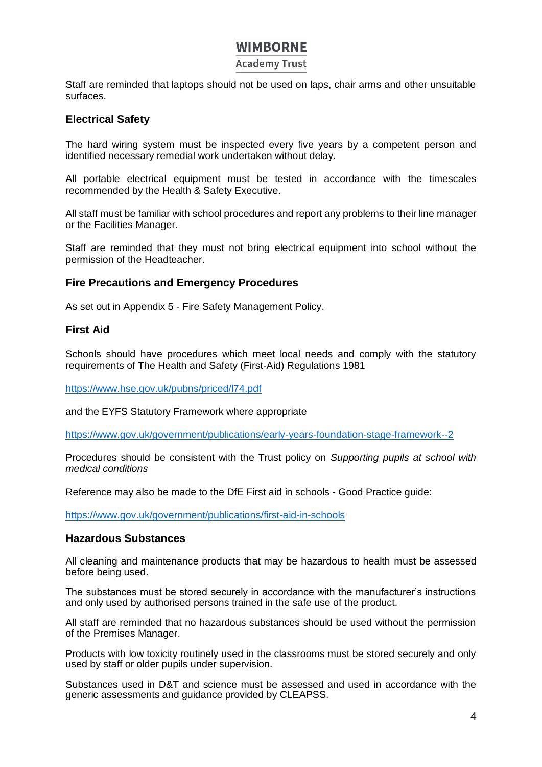#### **Academy Trust**

Staff are reminded that laptops should not be used on laps, chair arms and other unsuitable surfaces.

#### **Electrical Safety**

The hard wiring system must be inspected every five years by a competent person and identified necessary remedial work undertaken without delay.

All portable electrical equipment must be tested in accordance with the timescales recommended by the Health & Safety Executive.

All staff must be familiar with school procedures and report any problems to their line manager or the Facilities Manager.

Staff are reminded that they must not bring electrical equipment into school without the permission of the Headteacher.

#### **Fire Precautions and Emergency Procedures**

As set out in Appendix 5 - Fire Safety Management Policy.

#### **First Aid**

Schools should have procedures which meet local needs and comply with the statutory requirements of The Health and Safety (First-Aid) Regulations 1981

https://www.hse.gov.uk/pubns/priced/l74.pdf

and the EYFS Statutory Framework where appropriate

https://www.gov.uk/government/publications/early-years-foundation-stage-framework--2

Procedures should be consistent with the Trust policy on *Supporting pupils at school with medical conditions*

Reference may also be made to the DfE First aid in schools - Good Practice guide:

https://www.gov.uk/government/publications/first-aid-in-schools

#### **Hazardous Substances**

All cleaning and maintenance products that may be hazardous to health must be assessed before being used.

The substances must be stored securely in accordance with the manufacturer's instructions and only used by authorised persons trained in the safe use of the product.

All staff are reminded that no hazardous substances should be used without the permission of the Premises Manager.

Products with low toxicity routinely used in the classrooms must be stored securely and only used by staff or older pupils under supervision.

Substances used in D&T and science must be assessed and used in accordance with the generic assessments and guidance provided by CLEAPSS.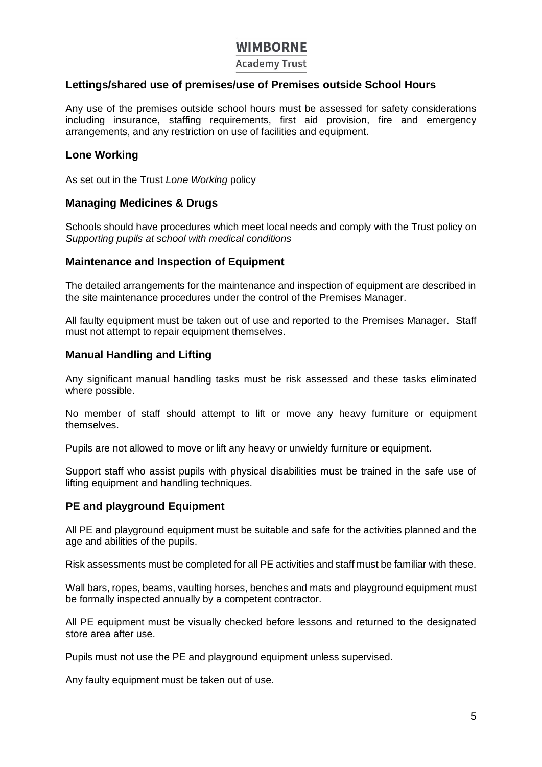**Academy Trust** 

#### **Lettings/shared use of premises/use of Premises outside School Hours**

Any use of the premises outside school hours must be assessed for safety considerations including insurance, staffing requirements, first aid provision, fire and emergency arrangements, and any restriction on use of facilities and equipment.

#### **Lone Working**

As set out in the Trust *Lone Working* policy

#### **Managing Medicines & Drugs**

Schools should have procedures which meet local needs and comply with the Trust policy on *Supporting pupils at school with medical conditions*

#### **Maintenance and Inspection of Equipment**

The detailed arrangements for the maintenance and inspection of equipment are described in the site maintenance procedures under the control of the Premises Manager.

All faulty equipment must be taken out of use and reported to the Premises Manager. Staff must not attempt to repair equipment themselves.

#### **Manual Handling and Lifting**

Any significant manual handling tasks must be risk assessed and these tasks eliminated where possible.

No member of staff should attempt to lift or move any heavy furniture or equipment themselves.

Pupils are not allowed to move or lift any heavy or unwieldy furniture or equipment.

Support staff who assist pupils with physical disabilities must be trained in the safe use of lifting equipment and handling techniques.

#### **PE and playground Equipment**

All PE and playground equipment must be suitable and safe for the activities planned and the age and abilities of the pupils.

Risk assessments must be completed for all PE activities and staff must be familiar with these.

Wall bars, ropes, beams, vaulting horses, benches and mats and playground equipment must be formally inspected annually by a competent contractor.

All PE equipment must be visually checked before lessons and returned to the designated store area after use.

Pupils must not use the PE and playground equipment unless supervised.

Any faulty equipment must be taken out of use.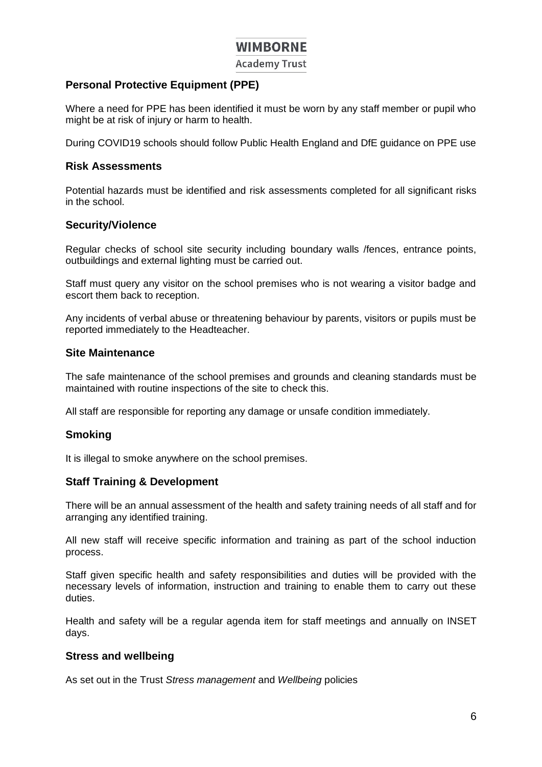**Academy Trust** 

#### **Personal Protective Equipment (PPE)**

Where a need for PPE has been identified it must be worn by any staff member or pupil who might be at risk of injury or harm to health.

During COVID19 schools should follow Public Health England and DfE guidance on PPE use

#### **Risk Assessments**

Potential hazards must be identified and risk assessments completed for all significant risks in the school.

#### **Security/Violence**

Regular checks of school site security including boundary walls /fences, entrance points, outbuildings and external lighting must be carried out.

Staff must query any visitor on the school premises who is not wearing a visitor badge and escort them back to reception.

Any incidents of verbal abuse or threatening behaviour by parents, visitors or pupils must be reported immediately to the Headteacher.

#### **Site Maintenance**

The safe maintenance of the school premises and grounds and cleaning standards must be maintained with routine inspections of the site to check this.

All staff are responsible for reporting any damage or unsafe condition immediately.

#### **Smoking**

It is illegal to smoke anywhere on the school premises.

#### **Staff Training & Development**

There will be an annual assessment of the health and safety training needs of all staff and for arranging any identified training.

All new staff will receive specific information and training as part of the school induction process.

Staff given specific health and safety responsibilities and duties will be provided with the necessary levels of information, instruction and training to enable them to carry out these duties.

Health and safety will be a regular agenda item for staff meetings and annually on INSET days.

#### **Stress and wellbeing**

As set out in the Trust *Stress management* and *Wellbeing* policies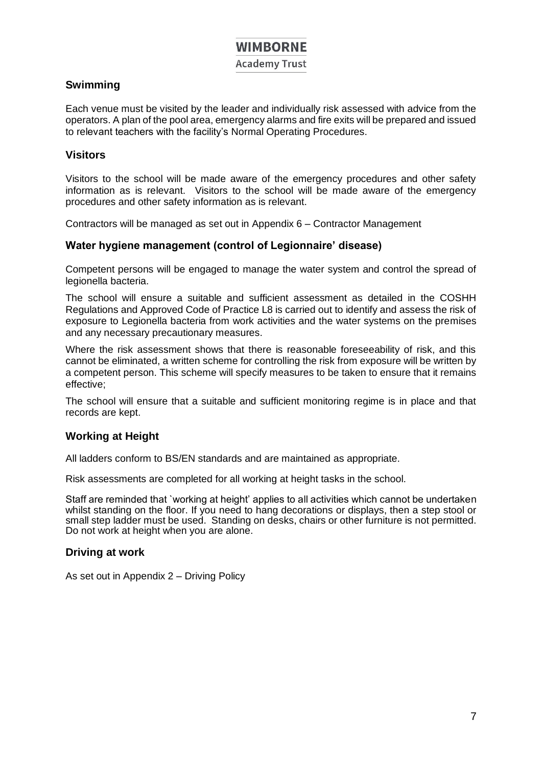**Academy Trust** 

#### **Swimming**

Each venue must be visited by the leader and individually risk assessed with advice from the operators. A plan of the pool area, emergency alarms and fire exits will be prepared and issued to relevant teachers with the facility's Normal Operating Procedures.

#### **Visitors**

Visitors to the school will be made aware of the emergency procedures and other safety information as is relevant. Visitors to the school will be made aware of the emergency procedures and other safety information as is relevant.

Contractors will be managed as set out in Appendix 6 – Contractor Management

#### **Water hygiene management (control of Legionnaire' disease)**

Competent persons will be engaged to manage the water system and control the spread of legionella bacteria.

The school will ensure a suitable and sufficient assessment as detailed in the COSHH Regulations and Approved Code of Practice L8 is carried out to identify and assess the risk of exposure to Legionella bacteria from work activities and the water systems on the premises and any necessary precautionary measures.

Where the risk assessment shows that there is reasonable foreseeability of risk, and this cannot be eliminated, a written scheme for controlling the risk from exposure will be written by a competent person. This scheme will specify measures to be taken to ensure that it remains effective;

The school will ensure that a suitable and sufficient monitoring regime is in place and that records are kept.

#### **Working at Height**

All ladders conform to BS/EN standards and are maintained as appropriate.

Risk assessments are completed for all working at height tasks in the school.

Staff are reminded that `working at height' applies to all activities which cannot be undertaken whilst standing on the floor. If you need to hang decorations or displays, then a step stool or small step ladder must be used. Standing on desks, chairs or other furniture is not permitted. Do not work at height when you are alone.

#### **Driving at work**

As set out in Appendix 2 – Driving Policy